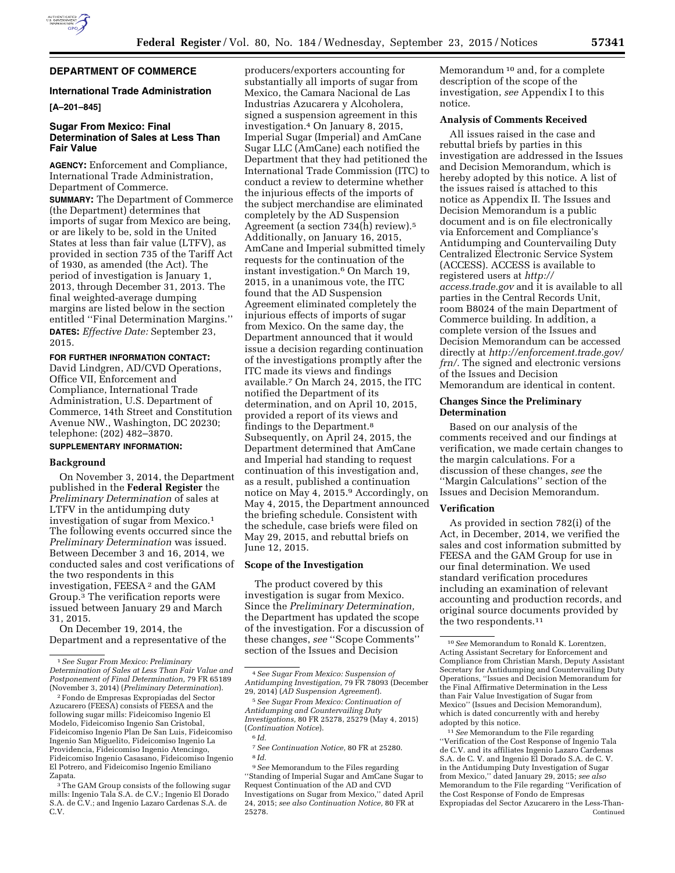

# **DEPARTMENT OF COMMERCE**

### **International Trade Administration**

#### **[A–201–845]**

# **Sugar From Mexico: Final Determination of Sales at Less Than Fair Value**

**AGENCY:** Enforcement and Compliance, International Trade Administration, Department of Commerce.

**SUMMARY:** The Department of Commerce (the Department) determines that imports of sugar from Mexico are being, or are likely to be, sold in the United States at less than fair value (LTFV), as provided in section 735 of the Tariff Act of 1930, as amended (the Act). The period of investigation is January 1, 2013, through December 31, 2013. The final weighted-average dumping margins are listed below in the section entitled ''Final Determination Margins.'' **DATES:** *Effective Date:* September 23, 2015.

#### **FOR FURTHER INFORMATION CONTACT:**

David Lindgren, AD/CVD Operations, Office VII, Enforcement and Compliance, International Trade Administration, U.S. Department of Commerce, 14th Street and Constitution Avenue NW., Washington, DC 20230; telephone: (202) 482–3870. **SUPPLEMENTARY INFORMATION:** 

### **Background**

On November 3, 2014, the Department published in the **Federal Register** the *Preliminary Determination* of sales at LTFV in the antidumping duty investigation of sugar from Mexico.1 The following events occurred since the *Preliminary Determination* was issued. Between December 3 and 16, 2014, we conducted sales and cost verifications of the two respondents in this investigation, FEESA 2 and the GAM Group.3 The verification reports were issued between January 29 and March 31, 2015.

On December 19, 2014, the Department and a representative of the

producers/exporters accounting for substantially all imports of sugar from Mexico, the Camara Nacional de Las Industrias Azucarera y Alcoholera, signed a suspension agreement in this investigation.4 On January 8, 2015, Imperial Sugar (Imperial) and AmCane Sugar LLC (AmCane) each notified the Department that they had petitioned the International Trade Commission (ITC) to conduct a review to determine whether the injurious effects of the imports of the subject merchandise are eliminated completely by the AD Suspension Agreement (a section 734(h) review).5 Additionally, on January 16, 2015, AmCane and Imperial submitted timely requests for the continuation of the instant investigation.6 On March 19, 2015, in a unanimous vote, the ITC found that the AD Suspension Agreement eliminated completely the injurious effects of imports of sugar from Mexico. On the same day, the Department announced that it would issue a decision regarding continuation of the investigations promptly after the ITC made its views and findings available.7 On March 24, 2015, the ITC notified the Department of its determination, and on April 10, 2015, provided a report of its views and findings to the Department.8 Subsequently, on April 24, 2015, the Department determined that AmCane and Imperial had standing to request continuation of this investigation and, as a result, published a continuation notice on May 4, 2015.9 Accordingly, on May 4, 2015, the Department announced the briefing schedule. Consistent with the schedule, case briefs were filed on May 29, 2015, and rebuttal briefs on June 12, 2015.

# **Scope of the Investigation**

The product covered by this investigation is sugar from Mexico. Since the *Preliminary Determination,*  the Department has updated the scope of the investigation. For a discussion of these changes, *see* ''Scope Comments'' section of the Issues and Decision

5*See Sugar From Mexico: Continuation of Antidumping and Countervailing Duty Investigations,* 80 FR 25278, 25279 (May 4, 2015) (*Continuation Notice*).

9*See* Memorandum to the Files regarding ''Standing of Imperial Sugar and AmCane Sugar to Request Continuation of the AD and CVD Investigations on Sugar from Mexico,'' dated April 24, 2015; *see also Continuation Notice,* 80 FR at 25278.

Memorandum 10 and, for a complete description of the scope of the investigation, *see* Appendix I to this notice.

#### **Analysis of Comments Received**

All issues raised in the case and rebuttal briefs by parties in this investigation are addressed in the Issues and Decision Memorandum, which is hereby adopted by this notice. A list of the issues raised is attached to this notice as Appendix II. The Issues and Decision Memorandum is a public document and is on file electronically via Enforcement and Compliance's Antidumping and Countervailing Duty Centralized Electronic Service System (ACCESS). ACCESS is available to registered users at *[http://](http://access.trade.gov) [access.trade.gov](http://access.trade.gov)* and it is available to all parties in the Central Records Unit, room B8024 of the main Department of Commerce building. In addition, a complete version of the Issues and Decision Memorandum can be accessed directly at *[http://enforcement.trade.gov/](http://enforcement.trade.gov/frn/)  [frn/.](http://enforcement.trade.gov/frn/)* The signed and electronic versions of the Issues and Decision Memorandum are identical in content.

#### **Changes Since the Preliminary Determination**

Based on our analysis of the comments received and our findings at verification, we made certain changes to the margin calculations. For a discussion of these changes, *see* the ''Margin Calculations'' section of the Issues and Decision Memorandum.

#### **Verification**

As provided in section 782(i) of the Act, in December, 2014, we verified the sales and cost information submitted by FEESA and the GAM Group for use in our final determination. We used standard verification procedures including an examination of relevant accounting and production records, and original source documents provided by the two respondents.11

11*See* Memorandum to the File regarding ''Verification of the Cost Response of Ingenio Tala de C.V. and its affiliates Ingenio Lazaro Cardenas S.A. de C. V. and Ingenio El Dorado S.A. de C. V. in the Antidumping Duty Investigation of Sugar from Mexico,'' dated January 29, 2015; *see also*  Memorandum to the File regarding ''Verification of the Cost Response of Fondo de Empresas Expropiadas del Sector Azucarero in the Less-Than-Continued

<sup>1</sup>*See Sugar From Mexico: Preliminary Determination of Sales at Less Than Fair Value and Postponement of Final Determination,* 79 FR 65189 (November 3, 2014) (*Preliminary Determination*).

<sup>2</sup>Fondo de Empresas Expropiadas del Sector Azucarero (FEESA) consists of FEESA and the following sugar mills: Fideicomiso Ingenio El Modelo, Fideicomiso Ingenio San Cristobal, Fideicomiso Ingenio Plan De San Luis, Fideicomiso Ingenio San Miguelito, Fideicomiso Ingenio La Providencia, Fideicomiso Ingenio Atencingo, Fideicomiso Ingenio Casasano, Fideicomiso Ingenio El Potrero, and Fideicomiso Ingenio Emiliano Zapata.

The GAM Group consists of the following sugar mills: Ingenio Tala S.A. de C.V.; Ingenio El Dorado S.A. de C.V.; and Ingenio Lazaro Cardenas S.A. de C.V.

<sup>4</sup>*See Sugar From Mexico: Suspension of Antidumping Investigation,* 79 FR 78093 (December 29, 2014) (*AD Suspension Agreement*).

<sup>6</sup> *Id.* 

<sup>7</sup>*See Continuation Notice,* 80 FR at 25280. 8 *Id.* 

<sup>10</sup>*See* Memorandum to Ronald K. Lorentzen, Acting Assistant Secretary for Enforcement and Compliance from Christian Marsh, Deputy Assistant Secretary for Antidumping and Countervailing Duty Operations, ''Issues and Decision Memorandum for the Final Affirmative Determination in the Less than Fair Value Investigation of Sugar from Mexico'' (Issues and Decision Memorandum), which is dated concurrently with and hereby adopted by this notice.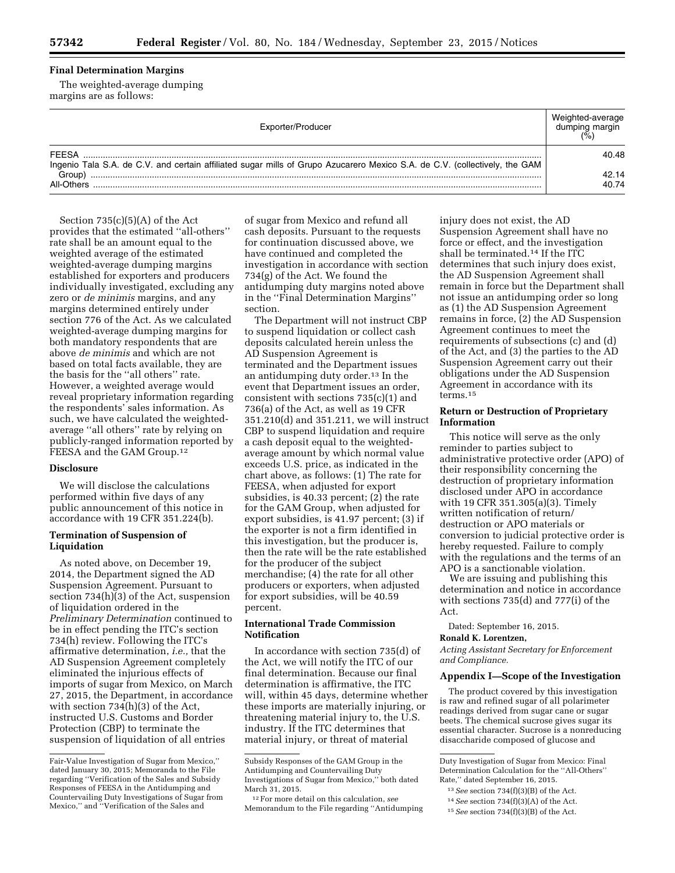# **Final Determination Margins**

The weighted-average dumping margins are as follows:

| Exporter/Producer                                                                                                                    | dumping margin |
|--------------------------------------------------------------------------------------------------------------------------------------|----------------|
| FFFSA                                                                                                                                | 40.48          |
| Ingenio Tala S.A. de C.V. and certain affiliated sugar mills of Grupo Azucarero Mexico S.A. de C.V. (collectively, the GAM<br>Group) | 42.14          |
| All-Others                                                                                                                           | 40.74          |

Section  $735(c)(5)(A)$  of the Act provides that the estimated ''all-others'' rate shall be an amount equal to the weighted average of the estimated weighted-average dumping margins established for exporters and producers individually investigated, excluding any zero or *de minimis* margins, and any margins determined entirely under section 776 of the Act. As we calculated weighted-average dumping margins for both mandatory respondents that are above *de minimis* and which are not based on total facts available, they are the basis for the ''all others'' rate. However, a weighted average would reveal proprietary information regarding the respondents' sales information. As such, we have calculated the weightedaverage ''all others'' rate by relying on publicly-ranged information reported by FEESA and the GAM Group.12

### **Disclosure**

We will disclose the calculations performed within five days of any public announcement of this notice in accordance with 19 CFR 351.224(b).

### **Termination of Suspension of Liquidation**

As noted above, on December 19, 2014, the Department signed the AD Suspension Agreement. Pursuant to section 734(h)(3) of the Act, suspension of liquidation ordered in the *Preliminary Determination* continued to be in effect pending the ITC's section 734(h) review. Following the ITC's affirmative determination, *i.e.,* that the AD Suspension Agreement completely eliminated the injurious effects of imports of sugar from Mexico, on March 27, 2015, the Department, in accordance with section 734(h)(3) of the Act, instructed U.S. Customs and Border Protection (CBP) to terminate the suspension of liquidation of all entries

of sugar from Mexico and refund all cash deposits. Pursuant to the requests for continuation discussed above, we have continued and completed the investigation in accordance with section 734(g) of the Act. We found the antidumping duty margins noted above in the ''Final Determination Margins'' section.

The Department will not instruct CBP to suspend liquidation or collect cash deposits calculated herein unless the AD Suspension Agreement is terminated and the Department issues an antidumping duty order.13 In the event that Department issues an order, consistent with sections 735(c)(1) and 736(a) of the Act, as well as 19 CFR 351.210(d) and 351.211, we will instruct CBP to suspend liquidation and require a cash deposit equal to the weightedaverage amount by which normal value exceeds U.S. price, as indicated in the chart above, as follows: (1) The rate for FEESA, when adjusted for export subsidies, is 40.33 percent; (2) the rate for the GAM Group, when adjusted for export subsidies, is 41.97 percent; (3) if the exporter is not a firm identified in this investigation, but the producer is, then the rate will be the rate established for the producer of the subject merchandise; (4) the rate for all other producers or exporters, when adjusted for export subsidies, will be 40.59 percent.

### **International Trade Commission Notification**

In accordance with section 735(d) of the Act, we will notify the ITC of our final determination. Because our final determination is affirmative, the ITC will, within 45 days, determine whether these imports are materially injuring, or threatening material injury to, the U.S. industry. If the ITC determines that material injury, or threat of material

injury does not exist, the AD Suspension Agreement shall have no force or effect, and the investigation shall be terminated.14 If the ITC determines that such injury does exist, the AD Suspension Agreement shall remain in force but the Department shall not issue an antidumping order so long as (1) the AD Suspension Agreement remains in force, (2) the AD Suspension Agreement continues to meet the requirements of subsections (c) and (d) of the Act, and (3) the parties to the AD Suspension Agreement carry out their obligations under the AD Suspension Agreement in accordance with its terms.15

### **Return or Destruction of Proprietary Information**

This notice will serve as the only reminder to parties subject to administrative protective order (APO) of their responsibility concerning the destruction of proprietary information disclosed under APO in accordance with 19 CFR 351.305(a)(3). Timely written notification of return/ destruction or APO materials or conversion to judicial protective order is hereby requested. Failure to comply with the regulations and the terms of an APO is a sanctionable violation.

We are issuing and publishing this determination and notice in accordance with sections 735(d) and 777(i) of the Act.

Dated: September 16, 2015.

# **Ronald K. Lorentzen,**

*Acting Assistant Secretary for Enforcement and Compliance.* 

#### **Appendix I—Scope of the Investigation**

The product covered by this investigation is raw and refined sugar of all polarimeter readings derived from sugar cane or sugar beets. The chemical sucrose gives sugar its essential character. Sucrose is a nonreducing disaccharide composed of glucose and

Fair-Value Investigation of Sugar from Mexico,'' dated January 30, 2015; Memoranda to the File regarding ''Verification of the Sales and Subsidy Responses of FEESA in the Antidumping and Countervailing Duty Investigations of Sugar from Mexico,'' and ''Verification of the Sales and

Subsidy Responses of the GAM Group in the Antidumping and Countervailing Duty Investigations of Sugar from Mexico,'' both dated March 31, 2015.

<sup>12</sup>For more detail on this calculation, *see*  Memorandum to the File regarding ''Antidumping

Duty Investigation of Sugar from Mexico: Final Determination Calculation for the ''All-Others'' Rate,'' dated September 16, 2015.

<sup>13</sup>*See* section 734(f)(3)(B) of the Act. 14*See* section 734(f)(3)(A) of the Act.

<sup>15</sup>*See* section 734(f)(3)(B) of the Act.